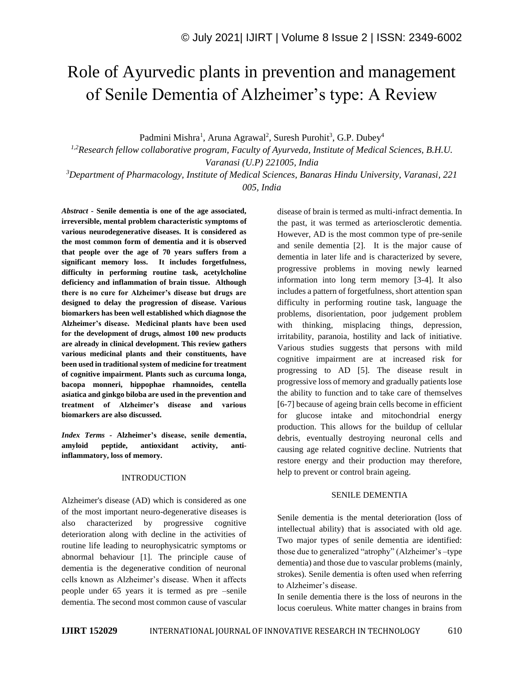# Role of Ayurvedic plants in prevention and management of Senile Dementia of Alzheimer's type: A Review

Padmini Mishra<sup>1</sup>, Aruna Agrawal<sup>2</sup>, Suresh Purohit<sup>3</sup>, G.P. Dubey<sup>4</sup>

*1,2Research fellow collaborative program, Faculty of Ayurveda, Institute of Medical Sciences, B.H.U. Varanasi (U.P) 221005, India*

*<sup>3</sup>Department of Pharmacology, Institute of Medical Sciences, Banaras Hindu University, Varanasi, 221 005, India*

*Abstract -* **Senile dementia is one of the age associated, irreversible, mental problem characteristic symptoms of various neurodegenerative diseases. It is considered as the most common form of dementia and it is observed that people over the age of 70 years suffers from a significant memory loss. It includes forgetfulness, difficulty in performing routine task, acetylcholine deficiency and inflammation of brain tissue. Although there is no cure for Alzheimer's disease but drugs are designed to delay the progression of disease. Various biomarkers has been well established which diagnose the Alzheimer's disease. Medicinal plants have been used for the development of drugs, almost 100 new products are already in clinical development. This review gathers various medicinal plants and their constituents, have been used in traditional system of medicine for treatment of cognitive impairment. Plants such as curcuma longa, bacopa monneri, hippophae rhamnoides, centella asiatica and ginkgo biloba are used in the prevention and treatment of Alzheimer's disease and various biomarkers are also discussed.**

*Index Terms -* **Alzheimer's disease, senile dementia, amyloid peptide, antioxidant activity, antiinflammatory, loss of memory.**

# INTRODUCTION

Alzheimer's disease (AD) which is considered as one of the most important neuro-degenerative diseases is also characterized by progressive cognitive deterioration along with decline in the activities of routine life leading to neurophysicatric symptoms or abnormal behaviour [1]. The principle cause of dementia is the degenerative condition of neuronal cells known as Alzheimer's disease. When it affects people under 65 years it is termed as pre –senile dementia. The second most common cause of vascular

disease of brain is termed as multi-infract dementia. In the past, it was termed as arteriosclerotic dementia. However, AD is the most common type of pre-senile and senile dementia [2]. It is the major cause of dementia in later life and is characterized by severe, progressive problems in moving newly learned information into long term memory [3-4]. It also includes a pattern of forgetfulness, short attention span difficulty in performing routine task, language the problems, disorientation, poor judgement problem with thinking, misplacing things, depression, irritability, paranoia, hostility and lack of initiative. Various studies suggests that persons with mild cognitive impairment are at increased risk for progressing to AD [5]. The disease result in progressive loss of memory and gradually patients lose the ability to function and to take care of themselves [6-7] because of ageing brain cells become in efficient for glucose intake and mitochondrial energy production. This allows for the buildup of cellular debris, eventually destroying neuronal cells and causing age related cognitive decline. Nutrients that restore energy and their production may therefore, help to prevent or control brain ageing.

#### SENILE DEMENTIA

Senile dementia is the mental deterioration (loss of intellectual ability) that is associated with old age. Two major types of senile dementia are identified: those due to generalized "atrophy" (Alzheimer's –type dementia) and those due to vascular problems (mainly, strokes). Senile dementia is often used when referring to Alzheimer's disease.

In senile dementia there is the loss of neurons in the locus coeruleus. White matter changes in brains from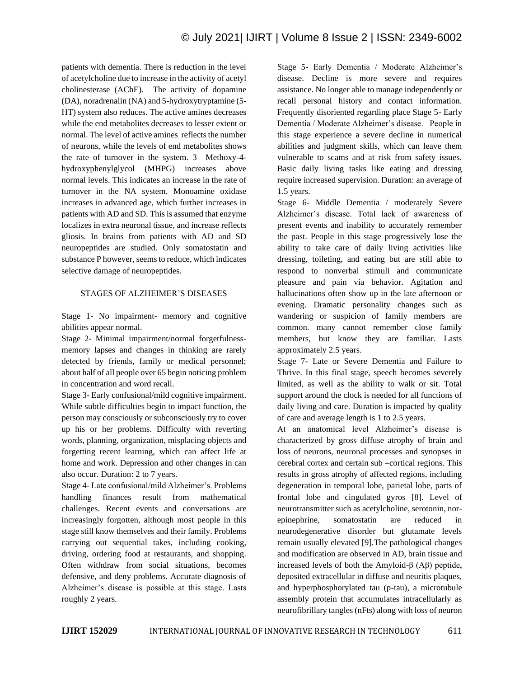patients with dementia. There is reduction in the level of acetylcholine due to increase in the activity of acetyl cholinesterase (AChE). The activity of dopamine (DA), noradrenalin (NA) and 5-hydroxytryptamine (5- HT) system also reduces. The active amines decreases while the end metabolites decreases to lesser extent or normal. The level of active amines reflects the number of neurons, while the levels of end metabolites shows the rate of turnover in the system. 3 –Methoxy-4 hydroxyphenylglycol (MHPG) increases above normal levels. This indicates an increase in the rate of turnover in the NA system. Monoamine oxidase increases in advanced age, which further increases in patients with AD and SD. This is assumed that enzyme localizes in extra neuronal tissue, and increase reflects gliosis. In brains from patients with AD and SD neuropeptides are studied. Only somatostatin and substance P however, seems to reduce, which indicates selective damage of neuropeptides.

# STAGES OF ALZHEIMER'S DISEASES

Stage 1- No impairment- memory and cognitive abilities appear normal.

Stage 2- Minimal impairment/normal forgetfulnessmemory lapses and changes in thinking are rarely detected by friends, family or medical personnel; about half of all people over 65 begin noticing problem in concentration and word recall.

Stage 3- Early confusional/mild cognitive impairment. While subtle difficulties begin to impact function, the person may consciously or subconsciously try to cover up his or her problems. Difficulty with reverting words, planning, organization, misplacing objects and forgetting recent learning, which can affect life at home and work. Depression and other changes in can also occur. Duration: 2 to 7 years.

Stage 4- Late confusional/mild Alzheimer's. Problems handling finances result from mathematical challenges. Recent events and conversations are increasingly forgotten, although most people in this stage still know themselves and their family. Problems carrying out sequential takes, including cooking, driving, ordering food at restaurants, and shopping. Often withdraw from social situations, becomes defensive, and deny problems. Accurate diagnosis of Alzheimer's disease is possible at this stage. Lasts roughly 2 years.

Stage 5- Early Dementia / Moderate Alzheimer's disease. Decline is more severe and requires assistance. No longer able to manage independently or recall personal history and contact information. Frequently disoriented regarding place Stage 5- Early Dementia / Moderate Alzheimer's disease. People in this stage experience a severe decline in numerical abilities and judgment skills, which can leave them vulnerable to scams and at risk from safety issues. Basic daily living tasks like eating and dressing require increased supervision. Duration: an average of 1.5 years.

Stage 6- Middle Dementia / moderately Severe Alzheimer's disease. Total lack of awareness of present events and inability to accurately remember the past. People in this stage progressively lose the ability to take care of daily living activities like dressing, toileting, and eating but are still able to respond to nonverbal stimuli and communicate pleasure and pain via behavior. Agitation and hallucinations often show up in the late afternoon or evening. Dramatic personality changes such as wandering or suspicion of family members are common. many cannot remember close family members, but know they are familiar. Lasts approximately 2.5 years.

Stage 7- Late or Severe Dementia and Failure to Thrive. In this final stage, speech becomes severely limited, as well as the ability to walk or sit. Total support around the clock is needed for all functions of daily living and care. Duration is impacted by quality of care and average length is 1 to 2.5 years.

At an anatomical level Alzheimer's disease is characterized by gross diffuse atrophy of brain and loss of neurons, neuronal processes and synopses in cerebral cortex and certain sub –cortical regions. This results in gross atrophy of affected regions, including degeneration in temporal lobe, parietal lobe, parts of frontal lobe and cingulated gyros [8]. Level of neurotransmitter such as acetylcholine, serotonin, norepinephrine, somatostatin are reduced in neurodegenerative disorder but glutamate levels remain usually elevated [9].The pathological changes and modification are observed in AD, brain tissue and increased levels of both the Amyloid-β (Aβ) peptide, deposited extracellular in diffuse and neuritis plaques, and hyperphosphorylated tau (p-tau), a microtubule assembly protein that accumulates intracellularly as neurofibrillary tangles (nFts) along with loss of neuron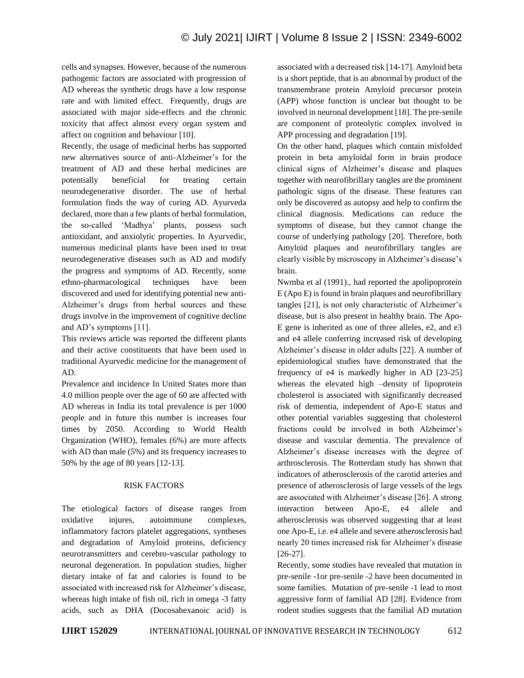cells and synapses. However, because of the numerous pathogenic factors are associated with progression of AD whereas the synthetic drugs have a low response rate and with limited effect. Frequently, drugs are associated with major side-effects and the chronic toxicity that affect almost every organ system and affect on cognition and behaviour [10].

Recently, the usage of medicinal herbs has supported new alternatives source of anti-Alzheimer's for the treatment of AD and these herbal medicines are potentially beneficial for treating certain neurodegenerative disorder. The use of herbal formulation finds the way of curing AD. Ayurveda declared, more than a few plants of herbal formulation, the so-called 'Madhya' plants, possess such antioxidant, and anxiolytic properties. In Ayurvedic, numerous medicinal plants have been used to treat neurodegenerative diseases such as AD and modify the progress and symptoms of AD. Recently, some ethno-pharmacological techniques have been discovered and used for identifying potential new anti-Alzheimer's drugs from herbal sources and these drugs involve in the improvement of cognitive decline and AD's symptoms [11].

This reviews article was reported the different plants and their active constituents that have been used in traditional Ayurvedic medicine for the management of AD.

Prevalence and incidence In United States more than 4.0 million people over the age of 60 are affected with AD whereas in India its total prevalence is per 1000 people and in future this number is increases four times by 2050. According to World Health Organization (WHO), females (6%) are more affects with AD than male (5%) and its frequency increases to 50% by the age of 80 years [12-13].

# RISK FACTORS

The etiological factors of disease ranges from oxidative injures, autoimmune complexes, inflammatory factors platelet aggregations, syntheses and degradation of Amyloid proteins, deficiency neurotransmitters and cerebro-vascular pathology to neuronal degeneration. In population studies, higher dietary intake of fat and calories is found to be associated with increased risk for Alzheimer's disease, whereas high intake of fish oil, rich in omega -3 fatty acids, such as DHA (Docosahexanoic acid) is associated with a decreased risk [14-17]. Amyloid beta is a short peptide, that is an abnormal by product of the transmembrane protein Amyloid precursor protein (APP) whose function is unclear but thought to be involved in neuronal development [18]. The pre-senile are component of proteolytic complex involved in APP processing and degradation [19].

On the other hand, plaques which contain misfolded protein in beta amyloidal form in brain produce clinical signs of Alzheimer's disease and plaques together with neurofibrillary tangles are the prominent pathologic signs of the disease. These features can only be discovered as autopsy and help to confirm the clinical diagnosis. Medications can reduce the symptoms of disease, but they cannot change the course of underlying pathology [20]. Therefore, both Amyloid plaques and neurofibrillary tangles are clearly visible by microscopy in Alzheimer's disease's brain.

Nwmba et al (1991)., had reported the apolipoprotein E (Apo E) is found in brain plaques and neurofibrillary tangles [21], is not only characteristic of Alzheimer's disease, but is also present in healthy brain. The Apo-E gene is inherited as one of three alleles, e2, and e3 and e4 allele conferring increased risk of developing Alzheimer's disease in older adults [22]. A number of epidemiological studies have demonstrated that the frequency of e4 is markedly higher in AD [23-25] whereas the elevated high –density of lipoprotein cholesterol is associated with significantly decreased risk of dementia, independent of Apo-E status and other potential variables suggesting that cholesterol fractions could be involved in both Alzheimer's disease and vascular dementia. The prevalence of Alzheimer's disease increases with the degree of arthrosclerosis. The Rotterdam study has shown that indicators of atherosclerosis of the carotid arteries and presence of atherosclerosis of large vessels of the legs are associated with Alzheimer's disease [26]. A strong interaction between Apo-E, e4 allele and atherosclerosis was observed suggesting that at least one Apo-E, i.e. e4 allele and severe atherosclerosis had nearly 20 times increased risk for Alzheimer's disease [26-27].

Recently, some studies have revealed that mutation in pre-senile -1or pre-senile -2 have been documented in some families. Mutation of pre-senile -1 lead to most aggressive form of familial AD [28]. Evidence from rodent studies suggests that the familial AD mutation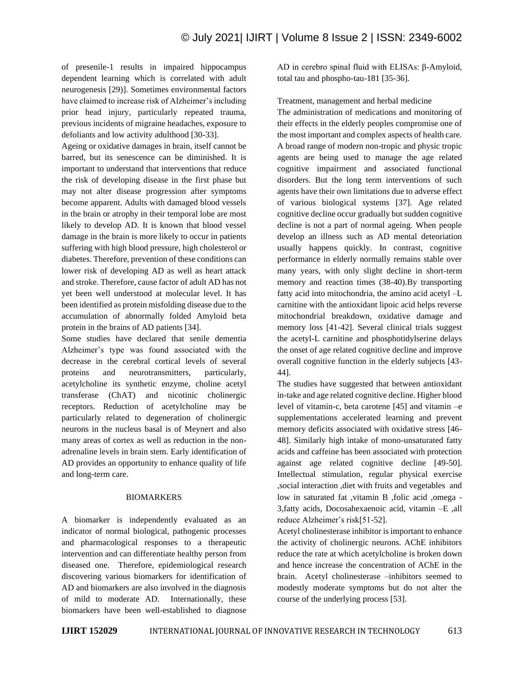of presenile-1 results in impaired hippocampus dependent learning which is correlated with adult neurogenesis [29)]. Sometimes environmental factors have claimed to increase risk of Alzheimer's including prior head injury, particularly repeated trauma, previous incidents of migraine headaches, exposure to defoliants and low activity adulthood [30-33].

Ageing or oxidative damages in brain, itself cannot be barred, but its senescence can be diminished. It is important to understand that interventions that reduce the risk of developing disease in the first phase but may not alter disease progression after symptoms become apparent. Adults with damaged blood vessels in the brain or atrophy in their temporal lobe are most likely to develop AD. It is known that blood vessel damage in the brain is more likely to occur in patients suffering with high blood pressure, high cholesterol or diabetes. Therefore, prevention of these conditions can lower risk of developing AD as well as heart attack and stroke. Therefore, cause factor of adult AD has not yet been well understood at molecular level. It has been identified as protein misfolding disease due to the accumulation of abnormally folded Amyloid beta protein in the brains of AD patients [34].

Some studies have declared that senile dementia Alzheimer's type was found associated with the decrease in the cerebral cortical levels of several proteins and neurotransmitters, particularly, acetylcholine its synthetic enzyme, choline acetyl transferase (ChAT) and nicotinic cholinergic receptors. Reduction of acetylcholine may be particularly related to degeneration of cholinergic neurons in the nucleus basal is of Meynert and also many areas of cortex as well as reduction in the nonadrenaline levels in brain stem. Early identification of AD provides an opportunity to enhance quality of life and long-term care.

# BIOMARKERS

A biomarker is independently evaluated as an indicator of normal biological, pathogenic processes and pharmacological responses to a therapeutic intervention and can differentiate healthy person from diseased one. Therefore, epidemiological research discovering various biomarkers for identification of AD and biomarkers are also involved in the diagnosis of mild to moderate AD. Internationally, these biomarkers have been well-established to diagnose AD in cerebro spinal fluid with ELISAs: β-Amyloid, total tau and phospho-tau-181 [35-36].

Treatment, management and herbal medicine

The administration of medications and monitoring of their effects in the elderly peoples compromise one of the most important and complex aspects of health care. A broad range of modern non-tropic and physic tropic agents are being used to manage the age related cognitive impairment and associated functional disorders. But the long term interventions of such agents have their own limitations due to adverse effect of various biological systems [37]. Age related cognitive decline occur gradually but sudden cognitive decline is not a part of normal ageing. When people develop an illness such as AD mental deteoriation usually happens quickly. In contrast, cognitive performance in elderly normally remains stable over many years, with only slight decline in short-term memory and reaction times (38-40).By transporting fatty acid into mitochondria, the amino acid acetyl –L carnitine with the antioxidant lipoic acid helps reverse mitochondrial breakdown, oxidative damage and memory loss [41-42]. Several clinical trials suggest the acetyl-L carnitine and phosphotidylserine delays the onset of age related cognitive decline and improve overall cognitive function in the elderly subjects [43- 44].

The studies have suggested that between antioxidant in-take and age related cognitive decline. Higher blood level of vitamin-c, beta carotene [45] and vitamin –e supplementations accelerated learning and prevent memory deficits associated with oxidative stress [46- 48]. Similarly high intake of mono-unsaturated fatty acids and caffeine has been associated with protection against age related cognitive decline [49-50]. Intellectual stimulation, regular physical exercise ,social interaction ,diet with fruits and vegetables and low in saturated fat ,vitamin B ,folic acid ,omega - 3,fatty acids, Docosahexaenoic acid, vitamin –E ,all reduce Alzheimer's risk[51-52].

Acetyl cholinesterase inhibitor is important to enhance the activity of cholinergic neurons. AChE inhibitors reduce the rate at which acetylcholine is broken down and hence increase the concentration of AChE in the brain. Acetyl cholinesterase –inhibitors seemed to modestly moderate symptoms but do not alter the course of the underlying process [53].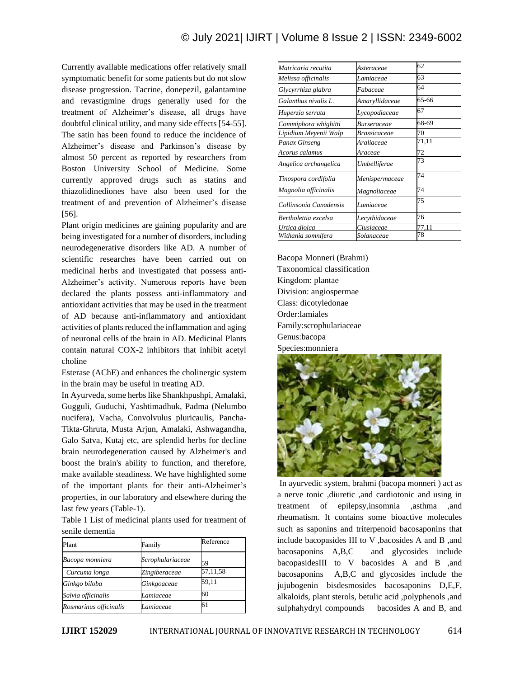Currently available medications offer relatively small symptomatic benefit for some patients but do not slow disease progression. Tacrine, donepezil, galantamine and revastigmine drugs generally used for the treatment of Alzheimer's disease, all drugs have doubtful clinical utility, and many side effects [54-55]. The satin has been found to reduce the incidence of Alzheimer's disease and Parkinson's disease by almost 50 percent as reported by researchers from Boston University School of Medicine. Some currently approved drugs such as statins and thiazolidinediones have also been used for the treatment of and prevention of Alzheimer's disease [56].

Plant origin medicines are gaining popularity and are being investigated for a number of disorders, including neurodegenerative disorders like AD. A number of scientific researches have been carried out on medicinal herbs and investigated that possess anti-Alzheimer's activity. Numerous reports have been declared the plants possess anti-inflammatory and antioxidant activities that may be used in the treatment of AD because anti-inflammatory and antioxidant activities of plants reduced the inflammation and aging of neuronal cells of the brain in AD. Medicinal Plants contain natural COX-2 inhibitors that inhibit acetyl choline

Esterase (AChE) and enhances the cholinergic system in the brain may be useful in treating AD.

In Ayurveda, some herbs like Shankhpushpi, Amalaki, Gugguli, Guduchi, Yashtimadhuk, Padma (Nelumbo nucifera), Vacha, Convolvulus pluricaulis, Pancha-Tikta-Ghruta, Musta Arjun, Amalaki, Ashwagandha, Galo Satva, Kutaj etc, are splendid herbs for decline brain neurodegeneration caused by Alzheimer's and boost the brain's ability to function, and therefore, make available steadiness. We have highlighted some of the important plants for their anti-Alzheimer's properties, in our laboratory and elsewhere during the last few years (Table-1).

Table 1 List of medicinal plants used for treatment of senile dementia

| Plant                  | Family           | Reference |
|------------------------|------------------|-----------|
| Bacopa monniera        | Scrophulariaceae | 59        |
| Curcuma longa          | Zingiberaceae    | 57,11,58  |
| Ginkgo biloba          | Ginkgoaceae      | 59,11     |
| Salvia officinalis     | Lamiaceae        | 60        |
| Rosmarinus officinalis | Lamiaceae        | 61        |

| Matricaria recutita    | Asteraceae     | 62    |
|------------------------|----------------|-------|
| Melissa officinalis    | Lamiaceae      | 63    |
| Glycyrrhiza glabra     | Fabaceae       | 64    |
| Galanthus nivalis L.   | Amaryllidaceae | 65-66 |
| Huperzia serrata       | Lycopodiaceae  | 67    |
| Commiphora whighitti   | Burseraceae    | 68-69 |
| Lipidium Meyenii Walp  | Brassicaceae   | 70    |
| Panax Ginseng          | Araliaceae     | 71,11 |
| Acorus calamus         | Araceae        | 72    |
| Angelica archangelica  | Umbelliferae   | 73    |
| Tinospora cordifolia   | Menispermaceae | 74    |
| Magnolia officinalis   | Magnoliaceae   | 74    |
| Collinsonia Canadensis | Lamiaceae      | 75    |
| Bertholettia excelsa   | Lecythidaceae  | 76    |
| Urtica dioica          | Clusiaceae     | 77.11 |
| Withania somnifera     | Solanaceae     | 78    |

Bacopa Monneri (Brahmi) Taxonomical classification Kingdom: plantae Division: angiospermae Class: dicotyledonae Order:lamiales Family:scrophulariaceae Genus:bacopa Species:monniera



In ayurvedic system, brahmi (bacopa monneri ) act as a nerve tonic ,diuretic ,and cardiotonic and using in treatment of epilepsy,insomnia ,asthma ,and rheumatism. It contains some bioactive molecules such as saponins and triterpenoid bacosaponins that include bacopasides III to V ,bacosides A and B ,and bacosaponins A,B,C and glycosides include bacopasidesIII to V bacosides A and B ,and bacosaponins A,B,C and glycosides include the jujubogenin bisdesmosides bacosaponins D,E,F, alkaloids, plant sterols, betulic acid ,polyphenols ,and sulphahydryl compounds bacosides A and B, and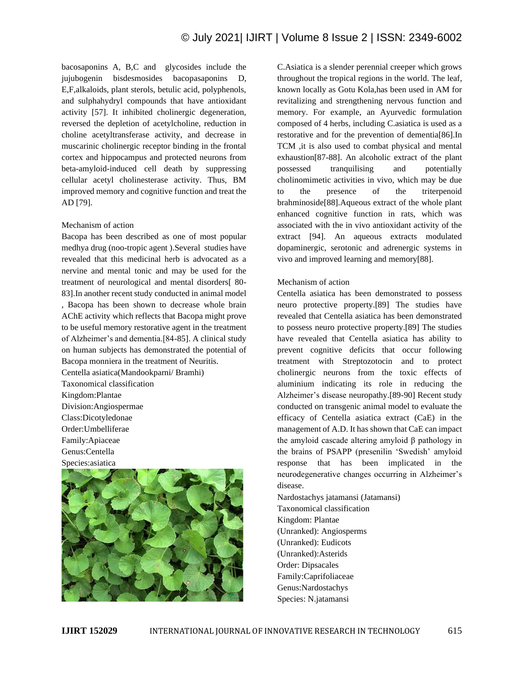bacosaponins A, B,C and glycosides include the jujubogenin bisdesmosides bacopasaponins D, E,F,alkaloids, plant sterols, betulic acid, polyphenols, and sulphahydryl compounds that have antioxidant activity [57]. It inhibited cholinergic degeneration, reversed the depletion of acetylcholine, reduction in choline acetyltransferase activity, and decrease in muscarinic cholinergic receptor binding in the frontal cortex and hippocampus and protected neurons from beta-amyloid-induced cell death by suppressing cellular acetyl cholinesterase activity. Thus, BM improved memory and cognitive function and treat the AD [79].

#### Mechanism of action

Bacopa has been described as one of most popular medhya drug (noo-tropic agent ).Several studies have revealed that this medicinal herb is advocated as a nervine and mental tonic and may be used for the treatment of neurological and mental disorders[ 80- 83].In another recent study conducted in animal model , Bacopa has been shown to decrease whole brain AChE activity which reflects that Bacopa might prove to be useful memory restorative agent in the treatment of Alzheimer's and dementia.[84-85]. A clinical study on human subjects has demonstrated the potential of Bacopa monniera in the treatment of Neuritis. Centella asiatica(Mandookparni/ Bramhi) Taxonomical classification Kingdom:Plantae Division:Angiospermae Class:Dicotyledonae Order:Umbelliferae

Family:Apiaceae Genus:Centella Species:asiatica



C.Asiatica is a slender perennial creeper which grows throughout the tropical regions in the world. The leaf, known locally as Gotu Kola,has been used in AM for revitalizing and strengthening nervous function and memory. For example, an Ayurvedic formulation composed of 4 herbs, including C.asiatica is used as a restorative and for the prevention of dementia[86].In TCM ,it is also used to combat physical and mental exhaustion[87-88]. An alcoholic extract of the plant possessed tranquilising and potentially cholinomimetic activities in vivo, which may be due to the presence of the triterpenoid brahminoside[88].Aqueous extract of the whole plant enhanced cognitive function in rats, which was associated with the in vivo antioxidant activity of the extract [94]. An aqueous extracts modulated dopaminergic, serotonic and adrenergic systems in vivo and improved learning and memory[88].

#### Mechanism of action

Centella asiatica has been demonstrated to possess neuro protective property.[89] The studies have revealed that Centella asiatica has been demonstrated to possess neuro protective property.[89] The studies have revealed that Centella asiatica has ability to prevent cognitive deficits that occur following treatment with Streptozotocin and to protect cholinergic neurons from the toxic effects of aluminium indicating its role in reducing the Alzheimer's disease neuropathy.[89-90] Recent study conducted on transgenic animal model to evaluate the efficacy of Centella asiatica extract (CaE) in the management of A.D. It has shown that CaE can impact the amyloid cascade altering amyloid β pathology in the brains of PSAPP (presenilin 'Swedish' amyloid response that has been implicated in the neurodegenerative changes occurring in Alzheimer's disease.

Nardostachys jatamansi (Jatamansi) Taxonomical classification Kingdom: Plantae (Unranked): Angiosperms (Unranked): Eudicots (Unranked):Asterids Order: Dipsacales Family:Caprifoliaceae Genus:Nardostachys Species: N.jatamansi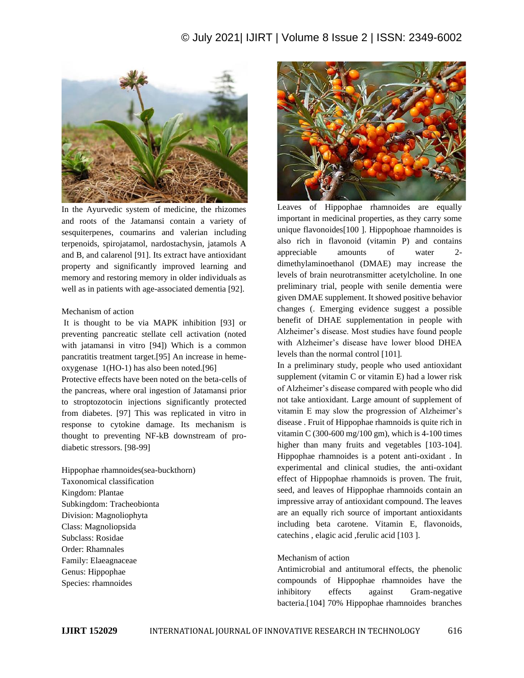# © July 2021| IJIRT | Volume 8 Issue 2 | ISSN: 2349-6002



In the Ayurvedic system of medicine, the rhizomes and roots of the Jatamansi contain a variety of sesquiterpenes, coumarins and valerian including terpenoids, spirojatamol, nardostachysin, jatamols A and B, and calarenol [91]. Its extract have antioxidant property and significantly improved learning and memory and restoring memory in older individuals as well as in patients with age-associated dementia [92].

#### Mechanism of action

It is thought to be via MAPK inhibition [93] or preventing pancreatic stellate cell activation (noted with jatamansi in vitro [94]) Which is a common pancratitis treatment target.[95] An increase in hemeoxygenase 1(HO-1) has also been noted.[96]

Protective effects have been noted on the beta-cells of the pancreas, where oral ingestion of Jatamansi prior to stroptozotocin injections significantly protected from diabetes. [97] This was replicated in vitro in response to cytokine damage. Its mechanism is thought to preventing NF-kB downstream of prodiabetic stressors. [98-99]

Hippophae rhamnoides(sea-buckthorn) Taxonomical classification Kingdom: Plantae Subkingdom: Tracheobionta Division: Magnoliophyta Class: Magnoliopsida Subclass: Rosidae Order: Rhamnales Family: Elaeagnaceae Genus: Hippophae Species: rhamnoides



Leaves of Hippophae rhamnoides are equally important in medicinal properties, as they carry some unique flavonoides[100 ]. Hippophoae rhamnoides is also rich in flavonoid (vitamin P) and contains appreciable amounts of water 2 dimethylaminoethanol (DMAE) may increase the levels of brain neurotransmitter acetylcholine. In one preliminary trial, people with senile dementia were given DMAE supplement. It showed positive behavior changes (. Emerging evidence suggest a possible benefit of DHAE supplementation in people with Alzheimer's disease. Most studies have found people with Alzheimer's disease have lower blood DHEA levels than the normal control [101].

In a preliminary study, people who used antioxidant supplement (vitamin C or vitamin E) had a lower risk of Alzheimer's disease compared with people who did not take antioxidant. Large amount of supplement of vitamin E may slow the progression of Alzheimer's disease . Fruit of Hippophae rhamnoids is quite rich in vitamin C (300-600 mg/100 gm), which is  $4-100$  times higher than many fruits and vegetables [103-104]. Hippophae rhamnoides is a potent anti-oxidant . In experimental and clinical studies, the anti-oxidant effect of Hippophae rhamnoids is proven. The fruit, seed, and leaves of Hippophae rhamnoids contain an impressive array of antioxidant compound. The leaves are an equally rich source of important antioxidants including beta carotene. Vitamin E, flavonoids, catechins , elagic acid ,ferulic acid [103 ].

#### Mechanism of action

Antimicrobial and antitumoral effects, the phenolic compounds of Hippophae rhamnoides have the inhibitory effects against Gram-negative bacteria.[104] 70% Hippophae rhamnoides branches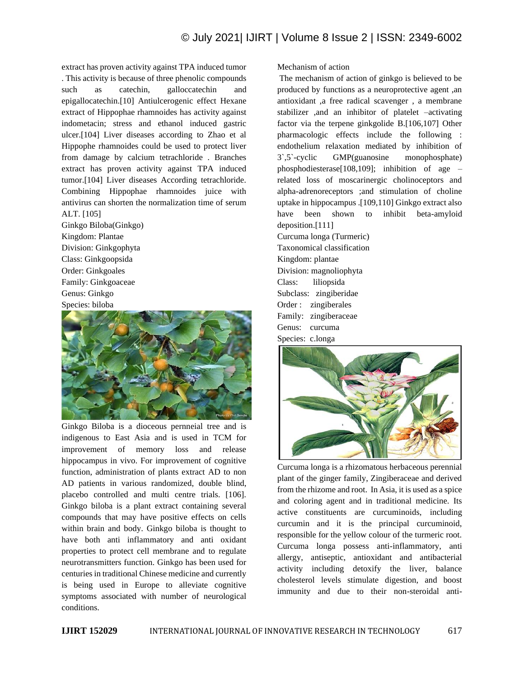extract has proven activity against TPA induced tumor . This activity is because of three phenolic compounds such as catechin, galloccatechin and epigallocatechin.[10] Antiulcerogenic effect Hexane extract of Hippophae rhamnoides has activity against indometacin; stress and ethanol induced gastric ulcer.[104] Liver diseases according to Zhao et al Hippophe rhamnoides could be used to protect liver from damage by calcium tetrachloride . Branches extract has proven activity against TPA induced tumor.[104] Liver diseases According tetrachloride. Combining Hippophae rhamnoides juice with antivirus can shorten the normalization time of serum ALT. [105]

Ginkgo Biloba(Ginkgo) Kingdom: Plantae Division: Ginkgophyta Class: Ginkgoopsida Order: Ginkgoales Family: Ginkgoaceae Genus: Ginkgo Species: biloba



Ginkgo Biloba is a dioceous pernneial tree and is indigenous to East Asia and is used in TCM for improvement of memory loss and release hippocampus in vivo. For improvement of cognitive function, administration of plants extract AD to non AD patients in various randomized, double blind, placebo controlled and multi centre trials. [106]. Ginkgo biloba is a plant extract containing several compounds that may have positive effects on cells within brain and body. Ginkgo biloba is thought to have both anti inflammatory and anti oxidant properties to protect cell membrane and to regulate neurotransmitters function. Ginkgo has been used for centuries in traditional Chinese medicine and currently is being used in Europe to alleviate cognitive symptoms associated with number of neurological conditions.

Mechanism of action

The mechanism of action of ginkgo is believed to be produced by functions as a neuroprotective agent ,an antioxidant ,a free radical scavenger , a membrane stabilizer ,and an inhibitor of platelet –activating factor via the terpene ginkgolide B.[106,107] Other pharmacologic effects include the following : endothelium relaxation mediated by inhibition of 3`,5`-cyclic GMP(guanosine monophosphate) phosphodiesterase[108,109]; inhibition of age – related loss of moscarinergic cholinoceptors and alpha-adrenoreceptors ;and stimulation of choline uptake in hippocampus .[109,110] Ginkgo extract also have been shown to inhibit beta-amyloid deposition.[111] Curcuma longa (Turmeric)

Taxonomical classification Kingdom: plantae Division: magnoliophyta Class: liliopsida Subclass: zingiberidae Order : zingiberales Family: zingiberaceae Genus: curcuma Species: c.longa



Curcuma longa is a rhizomatous herbaceous perennial plant of the ginger family, Zingiberaceae and derived from the rhizome and root. In Asia, it is used as a spice and coloring agent and in traditional medicine. Its active constituents are curcuminoids, including curcumin and it is the principal curcuminoid, responsible for the yellow colour of the turmeric root. Curcuma longa possess anti-inflammatory, anti allergy, antiseptic, antioxidant and antibacterial activity including detoxify the liver, balance cholesterol levels stimulate digestion, and boost immunity and due to their non-steroidal anti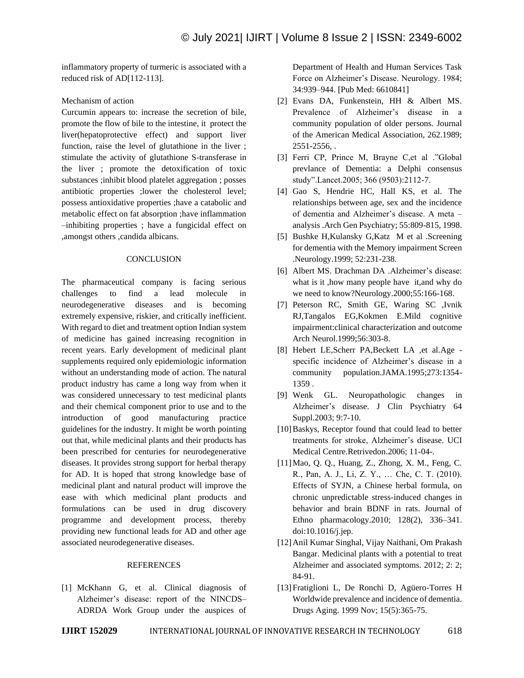inflammatory property of turmeric is associated with a reduced risk of AD[112-113].

### Mechanism of action

Curcumin appears to: increase the secretion of bile, promote the flow of bile to the intestine, it protect the liver(hepatoprotective effect) and support liver function, raise the level of glutathione in the liver ; stimulate the activity of glutathione S-transferase in the liver ; promote the detoxification of toxic substances ;inhibit blood platelet aggregation ; posses antibiotic properties ;lower the cholesterol level; possess antioxidative properties ;have a catabolic and metabolic effect on fat absorption ;have inflammation –inhibiting properties ; have a fungicidal effect on ,amongst others ,candida albicans.

#### **CONCLUSION**

The pharmaceutical company is facing serious challenges to find a lead molecule in neurodegenerative diseases and is becoming extremely expensive, riskier, and critically inefficient. With regard to diet and treatment option Indian system of medicine has gained increasing recognition in recent years. Early development of medicinal plant supplements required only epidemiologic information without an understanding mode of action. The natural product industry has came a long way from when it was considered unnecessary to test medicinal plants and their chemical component prior to use and to the introduction of good manufacturing practice guidelines for the industry. It might be worth pointing out that, while medicinal plants and their products has been prescribed for centuries for neurodegenerative diseases. It provides strong support for herbal therapy for AD. It is hoped that strong knowledge base of medicinal plant and natural product will improve the ease with which medicinal plant products and formulations can be used in drug discovery programme and development process, thereby providing new functional leads for AD and other age associated neurodegenerative diseases.

#### **REFERENCES**

[1] McKhann G, et al. Clinical diagnosis of Alzheimer's disease: report of the NINCDS– ADRDA Work Group under the auspices of Department of Health and Human Services Task Force on Alzheimer's Disease. Neurology. 1984; 34:939–944. [Pub Med: 6610841]

- [2] Evans DA, Funkenstein, HH & Albert MS. Prevalence of Alzheimer's disease in a community population of older persons. Journal of the American Medical Association, 262.1989; 2551-2556, .
- [3] Ferri CP, Prince M, Brayne C,et al ."Global prevlance of Dementia: a Delphi consensus study".Lancet.2005; 366 (9503):2112-7.
- [4] Gao S, Hendrie HC, Hall KS, et al. The relationships between age, sex and the incidence of dementia and Alzheimer's disease. A meta – analysis .Arch Gen Psychiatry; 55:809-815, 1998.
- [5] Bushke H,Kulansky G,Katz M et al .Screening for dementia with the Memory impairment Screen .Neurology.1999; 52:231-238.
- [6] Albert MS. Drachman DA .Alzheimer's disease: what is it ,how many people have it,and why do we need to know?Neurology.2000;55:166-168.
- [7] Peterson RC, Smith GE, Waring SC ,Ivnik RJ,Tangalos EG,Kokmen E.Mild cognitive impairment:clinical characterization and outcome Arch Neurol.1999;56:303-8.
- [8] Hebert LE,Scherr PA,Beckett LA ,et al.Age specific incidence of Alzheimer's disease in a community population.JAMA.1995;273:1354- 1359 .
- [9] Wenk GL. Neuropathologic changes in Alzheimer's disease. J Clin Psychiatry 64 Suppl.2003; 9:7-10.
- [10] Baskys, Receptor found that could lead to better treatments for stroke, Alzheimer's disease. UCI Medical Centre.Retrivedon.2006; 11-04-.
- [11]Mao, Q. Q., Huang, Z., Zhong, X. M., Feng, C. R., Pan, A. J., Li, Z. Y., … Che, C. T. (2010). Effects of SYJN, a Chinese herbal formula, on chronic unpredictable stress-induced changes in behavior and brain BDNF in rats. Journal of Ethno pharmacology.2010; 128(2), 336–341. doi:10.1016/j.jep.
- [12]Anil Kumar Singhal, Vijay Naithani, Om Prakash Bangar. Medicinal plants with a potential to treat Alzheimer and associated symptoms. 2012; 2: 2; 84-91.
- [13]Fratiglioni L, De Ronchi D, Agüero-Torres H Worldwide prevalence and incidence of dementia. Drugs Aging. 1999 Nov; 15(5):365-75.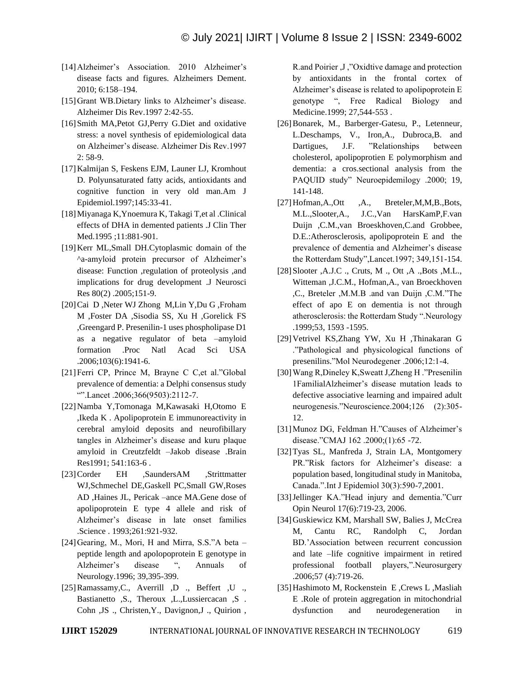- [14]Alzheimer's Association. 2010 Alzheimer's disease facts and figures. Alzheimers Dement. 2010; 6:158–194.
- [15] Grant WB. Dietary links to Alzheimer's disease. Alzheimer Dis Rev.1997 2:42-55.
- [16]Smith MA,Petot GJ,Perry G.Diet and oxidative stress: a novel synthesis of epidemiological data on Alzheimer's disease. Alzheimer Dis Rev.1997 2: 58-9.
- [17]Kalmijan S, Feskens EJM, Launer LJ, Kromhout D. Polyunsaturated fatty acids, antioxidants and cognitive function in very old man.Am J Epidemiol.1997;145:33-41.
- [18]Miyanaga K,Ynoemura K, Takagi T,et al .Clinical effects of DHA in demented patients .J Clin Ther Med.1995 ;11:881-901.
- [19]Kerr ML,Small DH.Cytoplasmic domain of the ^a-amyloid protein precursor of Alzheimer's disease: Function ,regulation of proteolysis ,and implications for drug development .J Neurosci Res 80(2) .2005;151-9.
- [20]Cai D ,Neter WJ Zhong M,Lin Y,Du G ,Froham M ,Foster DA ,Sisodia SS, Xu H ,Gorelick FS ,Greengard P. Presenilin-1 uses phospholipase D1 as a negative regulator of beta –amyloid formation .Proc Natl Acad Sci USA .2006;103(6):1941-6.
- [21]Ferri CP, Prince M, Brayne C C,et al."Global prevalence of dementia: a Delphi consensus study "".Lancet .2006;366(9503):2112-7.
- [22]Namba Y,Tomonaga M,Kawasaki H,Otomo E ,Ikeda K . Apolipoprotein E immunoreactivity in cerebral amyloid deposits and neurofibillary tangles in Alzheimer's disease and kuru plaque amyloid in Creutzfeldt –Jakob disease .Brain Res1991; 541:163-6 .
- [23]Corder EH ,SaundersAM ,Strittmatter WJ,Schmechel DE,Gaskell PC,Small GW,Roses AD ,Haines JL, Pericak –ance MA.Gene dose of apolipoprotein E type 4 allele and risk of Alzheimer's disease in late onset families .Science . 1993;261:921-932.
- [24] Gearing, M., Mori, H and Mirra, S.S."A beta peptide length and apolopoprotein E genotype in Alzheimer's disease ", Annuals of Neurology.1996; 39,395-399.
- [25]Ramassamy,C., Averrill ,D ., Beffert ,U ., Bastianetto ,S., Theroux ,L.,Lussiercacan ,S . Cohn ,JS ., Christen,Y., Davignon,J ., Quirion ,

R.and Poirier ,J ,"Oxidtive damage and protection by antioxidants in the frontal cortex of Alzheimer's disease is related to apolipoprotein E genotype ", Free Radical Biology and Medicine.1999; 27,544-553 .

- [26]Bonarek, M., Barberger-Gatesu, P., Letenneur, L.Deschamps, V., Iron,A., Dubroca,B. and Dartigues, J.F. "Relationships between cholesterol, apolipoprotien E polymorphism and dementia: a cros.sectional analysis from the PAQUID study" Neuroepidemilogy .2000; 19, 141-148.
- [27] Hofman, A., Ott , A., Breteler, M, M, B., Bots, M.L.,Slooter,A., J.C.,Van HarsKamP,F.van Duijn ,C.M.,van Broeskhoven,C.and Grobbee, D.E.:Atherosclerosis, apolipoprotein E and the prevalence of dementia and Alzheimer's disease the Rotterdam Study",Lancet.1997; 349,151-154.
- [28]Slooter ,A.J.C ., Cruts, M ., Ott ,A .,Bots ,M.L., Witteman ,J.C.M., Hofman,A., van Broeckhoven ,C., Breteler ,M.M.B .and van Duijn ,C.M."The effect of apo E on dementia is not through atherosclerosis: the Rotterdam Study ".Neurology .1999;53, 1593 -1595.
- [29]Vetrivel KS,Zhang YW, Xu H ,Thinakaran G ."Pathological and physicological functions of presenilins."Mol Neurodegener .2006;12:1-4.
- [30]Wang R,Dineley K,Sweatt J,Zheng H ."Presenilin 1FamilialAlzheimer's disease mutation leads to defective associative learning and impaired adult neurogenesis."Neuroscience.2004;126 (2):305- 12.
- [31]Munoz DG, Feldman H."Causes of Alzheimer's disease."CMAJ 162 .2000;(1):65 -72.
- [32]Tyas SL, Manfreda J, Strain LA, Montgomery PR."Risk factors for Alzheimer's disease: a population based, longitudinal study in Manitoba, Canada.".Int J Epidemiol 30(3):590-7,2001.
- [33]Jellinger KA."Head injury and dementia."Curr Opin Neurol 17(6):719-23, 2006.
- [34] Guskiewicz KM, Marshall SW, Balies J, McCrea M, Cantu RC, Randolph C, Jordan BD.'Association between recurrent concussion and late –life cognitive impairment in retired professional football players,".Neurosurgery .2006;57 (4):719-26.
- [35]Hashimoto M, Rockenstein E ,Crews L ,Masliah E .Role of protein aggregation in mitochondrial dysfunction and neurodegeneration in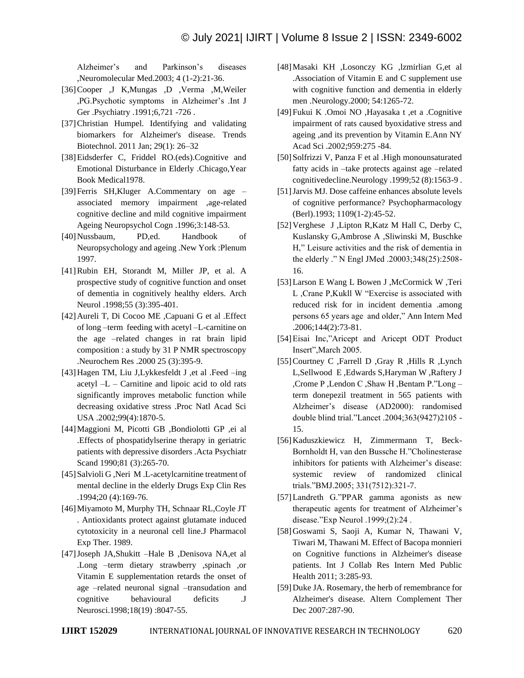Alzheimer's and Parkinson's diseases ,Neuromolecular Med.2003; 4 (1-2):21-36.

- [36]Cooper ,J K,Mungas ,D ,Verma ,M,Weiler ,PG.Psychotic symptoms in Alzheimer's .Int J Ger .Psychiatry .1991;6,721 -726 .
- [37]Christian Humpel. Identifying and validating biomarkers for Alzheimer's disease. Trends Biotechnol. 2011 Jan; 29(1): 26–32
- [38]Eidsderfer C, Friddel RO.(eds).Cognitive and Emotional Disturbance in Elderly .Chicago,Year Book Medical1978.
- [39]Ferris SH,Kluger A.Commentary on age associated memory impairment ,age-related cognitive decline and mild cognitive impairment Ageing Neuropsychol Cogn .1996;3:148-53.
- [40]Nussbaum, PD,ed. Handbook of Neuropsychology and ageing .New York :Plenum 1997.
- [41]Rubin EH, Storandt M, Miller JP, et al. A prospective study of cognitive function and onset of dementia in cognitively healthy elders. Arch Neurol .1998;55 (3):395-401.
- [42]Aureli T, Di Cocoo ME ,Capuani G et al .Effect of long –term feeding with acetyl –L-carnitine on the age –related changes in rat brain lipid composition : a study by 31 P NMR spectroscopy .Neurochem Res .2000 25 (3):395-9.
- [43]Hagen TM, Liu J,Lykkesfeldt J ,et al .Feed –ing acetyl  $-L$  – Carnitine and lipoic acid to old rats significantly improves metabolic function while decreasing oxidative stress .Proc Natl Acad Sci USA .2002;99(4):1870-5.
- [44]Maggioni M, Picotti GB ,Bondiolotti GP ,ei al .Effects of phospatidylserine therapy in geriatric patients with depressive disorders .Acta Psychiatr Scand 1990;81 (3):265-70.
- [45] Salvioli G , Neri M .L-acetylcarnitine treatment of mental decline in the elderly Drugs Exp Clin Res .1994;20 (4):169-76.
- [46]Miyamoto M, Murphy TH, Schnaar RL,Coyle JT . Antioxidants protect against glutamate induced cytotoxicity in a neuronal cell line.J Pharmacol Exp Ther. 1989.
- [47]Joseph JA,Shukitt –Hale B ,Denisova NA,et al .Long –term dietary strawberry ,spinach ,or Vitamin E supplementation retards the onset of age –related neuronal signal –transudation and cognitive behavioural deficits .J Neurosci.1998;18(19) :8047-55.
- [48]Masaki KH ,Losonczy KG ,lzmirlian G,et al .Association of Vitamin E and C supplement use with cognitive function and dementia in elderly men .Neurology.2000; 54:1265-72.
- [49]Fukui K .Omoi NO ,Hayasaka t ,et a .Cognitive impairment of rats caused byoxidative stress and ageing ,and its prevention by Vitamin E.Ann NY Acad Sci .2002;959:275 -84.
- [50]Solfrizzi V, Panza F et al .High monounsaturated fatty acids in –take protects against age –related cognitivedecline.Neurology .1999;52 (8):1563-9 .
- [51]Jarvis MJ. Dose caffeine enhances absolute levels of cognitive performance? Psychopharmacology (Berl).1993; 1109(1-2):45-52.
- [52]Verghese J ,Lipton R,Katz M Hall C, Derby C, Kuslansky G,Ambrose A ,Sliwinski M, Buschke H," Leisure activities and the risk of dementia in the elderly ." N Engl JMed .20003;348(25):2508- 16.
- [53]Larson E Wang L Bowen J ,McCormick W ,Teri L ,Crane P,Kukll W "Exercise is associated with reduced risk for in incident dementia .among persons 65 years age and older," Ann Intern Med .2006;144(2):73-81.
- [54]Eisai Inc,"Aricept and Aricept ODT Product Insert",March 2005.
- [55]Courtney C ,Farrell D ,Gray R ,Hills R ,Lynch L,Sellwood E ,Edwards S,Haryman W ,Raftery J ,Crome P ,Lendon C ,Shaw H ,Bentam P."Long – term donepezil treatment in 565 patients with Alzheimer's disease (AD2000): randomised double blind trial."Lancet .2004;363(9427)2105 - 15.
- [56]Kaduszkiewicz H, Zimmermann T, Beck-Bornholdt H, van den Bussche H."Cholinesterase inhibitors for patients with Alzheimer's disease: systemic review of randomized clinical trials."BMJ.2005; 331(7512):321-7.
- [57]Landreth G."PPAR gamma agonists as new therapeutic agents for treatment of Alzheimer's disease."Exp Neurol .1999;(2):24 .
- [58]Goswami S, Saoji A, Kumar N, Thawani V, Tiwari M, Thawani M. Effect of Bacopa monnieri on Cognitive functions in Alzheimer's disease patients. Int J Collab Res Intern Med Public Health 2011; 3:285-93.
- [59] Duke JA. Rosemary, the herb of remembrance for Alzheimer's disease. Altern Complement Ther Dec 2007:287-90.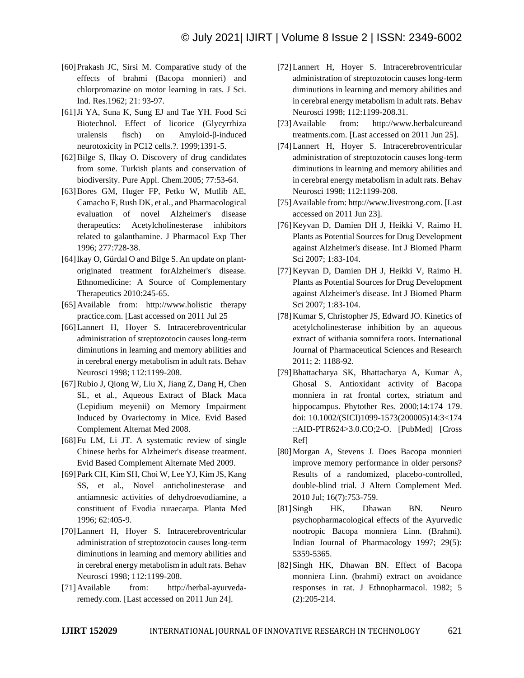- [60]Prakash JC, Sirsi M. Comparative study of the effects of brahmi (Bacopa monnieri) and chlorpromazine on motor learning in rats. J Sci. Ind. Res.1962; 21: 93-97.
- [61]Ji YA, Suna K, Sung EJ and Tae YH. Food Sci Biotechnol. Effect of licorice (Glycyrrhiza uralensis fisch) on Amyloid-β-induced neurotoxicity in PC12 cells.?. 1999;1391-5.
- [62]Bilge S, Ilkay O. Discovery of drug candidates from some. Turkish plants and conservation of biodiversity. Pure Appl. Chem.2005; 77:53-64.
- [63]Bores GM, Huger FP, Petko W, Mutlib AE, Camacho F, Rush DK, et al., and Pharmacological evaluation of novel Alzheimer's disease therapeutics: Acetylcholinesterase inhibitors related to galanthamine. J Pharmacol Exp Ther 1996; 277:728-38.
- [64]lkay O, Gürdal O and Bilge S. An update on plantoriginated treatment forAlzheimer's disease. Ethnomedicine: A Source of Complementary Therapeutics 2010:245-65.
- [65]Available from: http://www.holistic therapy practice.com. [Last accessed on 2011 Jul 25
- [66]Lannert H, Hoyer S. Intracerebroventricular administration of streptozotocin causes long-term diminutions in learning and memory abilities and in cerebral energy metabolism in adult rats. Behav Neurosci 1998; 112:1199-208.
- [67]Rubio J, Qiong W, Liu X, Jiang Z, Dang H, Chen SL, et al., Aqueous Extract of Black Maca (Lepidium meyenii) on Memory Impairment Induced by Ovariectomy in Mice. Evid Based Complement Alternat Med 2008.
- [68]Fu LM, Li JT. A systematic review of single Chinese herbs for Alzheimer's disease treatment. Evid Based Complement Alternate Med 2009.
- [69]Park CH, Kim SH, Choi W, Lee YJ, Kim JS, Kang SS, et al., Novel anticholinesterase and antiamnesic activities of dehydroevodiamine, a constituent of Evodia ruraecarpa. Planta Med 1996; 62:405-9.
- [70]Lannert H, Hoyer S. Intracerebroventricular administration of streptozotocin causes long-term diminutions in learning and memory abilities and in cerebral energy metabolism in adult rats. Behav Neurosci 1998; 112:1199-208.
- [71]Available from: http://herbal-ayurvedaremedy.com. [Last accessed on 2011 Jun 24].
- [72]Lannert H, Hoyer S. Intracerebroventricular administration of streptozotocin causes long-term diminutions in learning and memory abilities and in cerebral energy metabolism in adult rats. Behav Neurosci 1998; 112:1199-208.31.
- [73]Available from: http://www.herbalcureand treatments.com. [Last accessed on 2011 Jun 25].
- [74]Lannert H, Hoyer S. Intracerebroventricular administration of streptozotocin causes long-term diminutions in learning and memory abilities and in cerebral energy metabolism in adult rats. Behav Neurosci 1998; 112:1199-208.
- [75]Available from: http://www.livestrong.com. [Last accessed on 2011 Jun 23].
- [76]Keyvan D, Damien DH J, Heikki V, Raimo H. Plants as Potential Sources for Drug Development against Alzheimer's disease. Int J Biomed Pharm Sci 2007; 1:83-104.
- [77]Keyvan D, Damien DH J, Heikki V, Raimo H. Plants as Potential Sources for Drug Development against Alzheimer's disease. Int J Biomed Pharm Sci 2007; 1:83-104.
- [78]Kumar S, Christopher JS, Edward JO. Kinetics of acetylcholinesterase inhibition by an aqueous extract of withania somnifera roots. International Journal of Pharmaceutical Sciences and Research 2011; 2: 1188-92.
- [79]Bhattacharya SK, Bhattacharya A, Kumar A, Ghosal S. Antioxidant activity of Bacopa monniera in rat frontal cortex, striatum and hippocampus. Phytother Res. 2000;14:174–179. doi: 10.1002/(SICI)1099-1573(200005)14:3<174 ::AID-PTR624>3.0.CO;2-O. [PubMed] [Cross Ref]
- [80]Morgan A, Stevens J. Does Bacopa monnieri improve memory performance in older persons? Results of a randomized, placebo-controlled, double-blind trial. J Altern Complement Med. 2010 Jul; 16(7):753-759.
- [81]Singh HK, Dhawan BN. Neuro psychopharmacological effects of the Ayurvedic nootropic Bacopa monniera Linn. (Brahmi). Indian Journal of Pharmacology 1997; 29(5): 5359-5365.
- [82]Singh HK, Dhawan BN. Effect of Bacopa monniera Linn. (brahmi) extract on avoidance responses in rat. J Ethnopharmacol. 1982; 5 (2):205-214.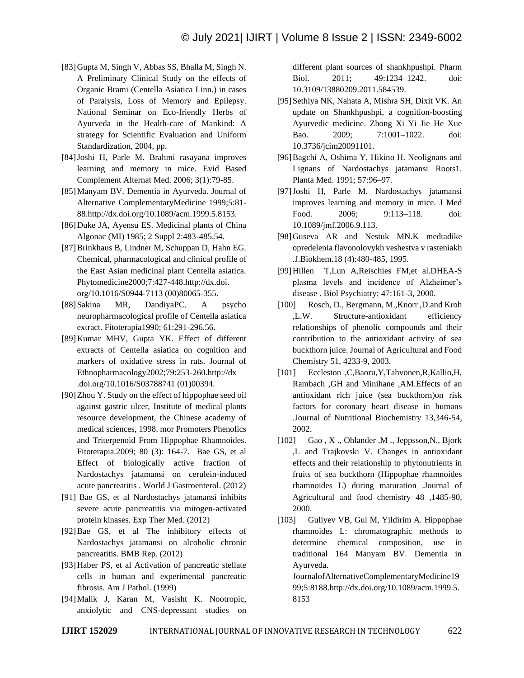- [83]Gupta M, Singh V, Abbas SS, Bhalla M, Singh N. A Preliminary Clinical Study on the effects of Organic Brami (Centella Asiatica Linn.) in cases of Paralysis, Loss of Memory and Epilepsy. National Seminar on Eco-friendly Herbs of Ayurveda in the Health-care of Mankind: A strategy for Scientific Evaluation and Uniform Standardization, 2004, pp.
- [84]Joshi H, Parle M. Brahmi rasayana improves learning and memory in mice. Evid Based Complement Alternat Med. 2006; 3(1):79-85.
- [85]Manyam BV. Dementia in Ayurveda. Journal of Alternative ComplementaryMedicine 1999;5:81- 88.http://dx.doi.org/10.1089/acm.1999.5.8153.
- [86] Duke JA, Ayensu ES. Medicinal plants of China Algonac (MI) 1985; 2 Suppl 2:483-485.54.
- [87]Brinkhaus B, Lindner M, Schuppan D, Hahn EG. Chemical, pharmacological and clinical profile of the East Asian medicinal plant Centella asiatica. Phytomedicine2000;7:427-448.http://dx.doi. org/10.1016/S0944-7113 (00)80065-355.
- [88]Sakina MR, DandiyaPC. A psycho neuropharmacological profile of Centella asiatica extract. Fitoterapia1990; 61:291-296.56.
- [89]Kumar MHV, Gupta YK. Effect of different extracts of Centella asiatica on cognition and markers of oxidative stress in rats. Journal of Ethnopharmacology2002;79:253-260.http://dx .doi.org/10.1016/S03788741 (01)00394.
- [90]Zhou Y. Study on the effect of hippophae seed oil against gastric ulcer, Institute of medical plants resource development, the Chinese academy of medical sciences, 1998. mor Promoters Phenolics and Triterpenoid From Hippophae Rhamnoides. Fitoterapia.2009; 80 (3): 164-7. Bae GS, et al Effect of biologically active fraction of Nardostachys jatamansi on cerulein-induced acute pancreatitis . World J Gastroenterol. (2012)
- [91] Bae GS, et al Nardostachys jatamansi inhibits severe acute pancreatitis via mitogen-activated protein kinases. Exp Ther Med. (2012)
- [92]Bae GS, et al The inhibitory effects of Nardostachys jatamansi on alcoholic chronic pancreatitis. BMB Rep. (2012)
- [93]Haber PS, et al Activation of pancreatic stellate cells in human and experimental pancreatic fibrosis. Am J Pathol. (1999)
- [94]Malik J, Karan M, Vasisht K. Nootropic, anxiolytic and CNS-depressant studies on

different plant sources of shankhpushpi. Pharm Biol. 2011; 49:1234–1242. doi: 10.3109/13880209.2011.584539.

- [95]Sethiya NK, Nahata A, Mishra SH, Dixit VK. An update on Shankhpushpi, a cognition-boosting Ayurvedic medicine. Zhong Xi Yi Jie He Xue Bao. 2009; 7:1001–1022. doi: 10.3736/jcim20091101.
- [96]Bagchi A, Oshima Y, Hikino H. Neolignans and Lignans of Nardostachys jatamansi Roots1. Planta Med. 1991; 57:96–97.
- [97]Joshi H, Parle M. Nardostachys jatamansi improves learning and memory in mice. J Med Food. 2006; 9:113–118. doi: 10.1089/jmf.2006.9.113.
- [98]Guseva AR and Nestuk MN.K medtadike opredelenia flavonolovykh veshestva v rasteniakh .J.Biokhem.18 (4):480-485, 1995.
- [99]Hillen T,Lun A,Reischies FM,et al.DHEA-S plasma levels and incidence of Alzheimer's disease . Biol Psychiatry; 47:161-3, 2000.
- [100] Rosch, D., Bergmann, M., Knorr, D. and Kroh ,L.W. Structure-antioxidant efficiency relationships of phenolic compounds and their contribution to the antioxidant activity of sea buckthorn juice. Journal of Agricultural and Food Chemistry 51, 4233-9, 2003.
- [101] Eccleston ,C,Baoru,Y,Tahvonen,R,Kallio,H, Rambach ,GH and Minihane ,AM.Effects of an antioxidant rich juice (sea buckthorn)on risk factors for coronary heart disease in humans .Journal of Nutritional Biochemistry 13,346-54, 2002.
- [102] Gao , X ., Ohlander ,M ., Jeppsson,N., Bjork ,L and Trajkovski V. Changes in antioxidant effects and their relationship to phytonutrients in fruits of sea buckthorn (Hippophae rhamnoides rhamnoides L) during maturation .Journal of Agricultural and food chemistry 48 ,1485-90, 2000.
- [103] Guliyev VB, Gul M, Yildirim A. Hippophae rhamnoides L: chromatographic methods to determine chemical composition, use in traditional 164 Manyam BV. Dementia in Ayurveda.

JournalofAlternativeComplementaryMedicine19 99;5:8188.http://dx.doi.org/10.1089/acm.1999.5. 8153